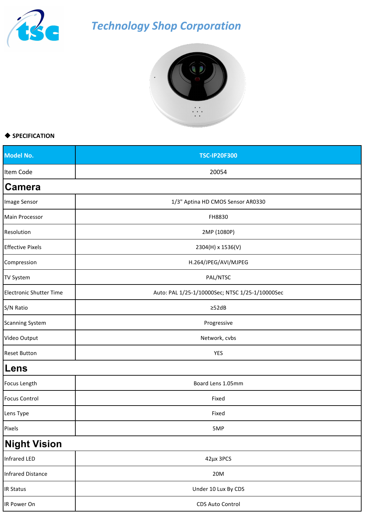

## *Technology Shop Corporation*



## ◆ **SPECIFICATION**

| <b>Model No.</b>               | <b>TSC-IP20F300</b>                             |
|--------------------------------|-------------------------------------------------|
| Item Code                      | 20054                                           |
| <b>Camera</b>                  |                                                 |
| Image Sensor                   | 1/3" Aptina HD CMOS Sensor AR0330               |
| Main Processor                 | FH8830                                          |
| Resolution                     | 2MP (1080P)                                     |
| <b>Effective Pixels</b>        | 2304(H) x 1536(V)                               |
| Compression                    | H.264/JPEG/AVI/MJPEG                            |
| TV System                      | PAL/NTSC                                        |
| <b>Electronic Shutter Time</b> | Auto: PAL 1/25-1/10000Sec; NTSC 1/25-1/10000Sec |
| S/N Ratio                      | $\geq$ 52dB                                     |
| <b>Scanning System</b>         | Progressive                                     |
| Video Output                   | Network, cvbs                                   |
| <b>Reset Button</b>            | YES                                             |
| Lens                           |                                                 |
| Focus Length                   | Board Lens 1.05mm                               |
| <b>Focus Control</b>           | Fixed                                           |
| Lens Type                      | Fixed                                           |
| Pixels                         | 5MP                                             |
| <b>Night Vision</b>            |                                                 |
| Infrared LED                   | 42µx 3PCS                                       |
| <b>Infrared Distance</b>       | 20M                                             |
| <b>IR Status</b>               | Under 10 Lux By CDS                             |
| IR Power On                    | CDS Auto Control                                |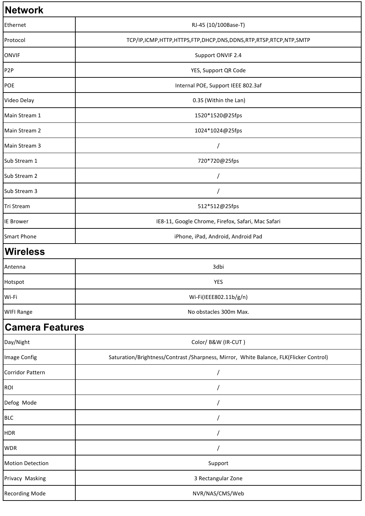| <b>Network</b>          |                                                                                        |
|-------------------------|----------------------------------------------------------------------------------------|
| Ethernet                | RJ-45 (10/100Base-T)                                                                   |
| Protocol                | TCP/IP,ICMP,HTTP,HTTPS,FTP,DHCP,DNS,DDNS,RTP,RTSP,RTCP,NTP,SMTP                        |
| <b>ONVIF</b>            | Support ONVIF 2.4                                                                      |
| P <sub>2</sub> P        | YES, Support QR Code                                                                   |
| POE                     | Internal POE, Support IEEE 802.3af                                                     |
| Video Delay             | 0.3S (Within the Lan)                                                                  |
| Main Stream 1           | 1520*1520@25fps                                                                        |
| Main Stream 2           | 1024*1024@25fps                                                                        |
| Main Stream 3           |                                                                                        |
| Sub Stream 1            | 720*720@25fps                                                                          |
| Sub Stream 2            |                                                                                        |
| Sub Stream 3            |                                                                                        |
| Tri Stream              | 512*512@25fps                                                                          |
| <b>IE Brower</b>        | IE8-11, Google Chrome, Firefox, Safari, Mac Safari                                     |
| <b>Smart Phone</b>      | iPhone, iPad, Android, Android Pad                                                     |
| <b>Wireless</b>         |                                                                                        |
| Antenna                 | 3dbi                                                                                   |
| Hotspot                 | YES                                                                                    |
| Wi-Fi                   | Wi-Fi(IEEE802.11b/g/n)                                                                 |
| <b>WIFI Range</b>       | No obstacles 300m Max.                                                                 |
| <b>Camera Features</b>  |                                                                                        |
| Day/Night               | Color/ B&W (IR-CUT)                                                                    |
| Image Config            | Saturation/Brightness/Contrast /Sharpness, Mirror, White Balance, FLK(Flicker Control) |
| Corridor Pattern        |                                                                                        |
| ROI                     |                                                                                        |
| Defog Mode              |                                                                                        |
| <b>BLC</b>              |                                                                                        |
| <b>HDR</b>              |                                                                                        |
| <b>WDR</b>              |                                                                                        |
| <b>Motion Detection</b> | Support                                                                                |
| Privacy Masking         | 3 Rectangular Zone                                                                     |
| Recording Mode          | NVR/NAS/CMS/Web                                                                        |